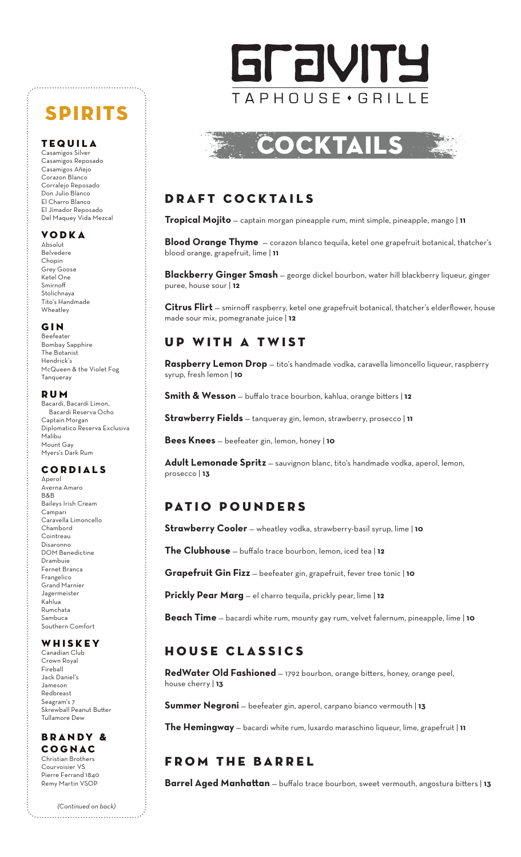# **SPIRITS**

Casamigos Silver Casamigos Reposado Casamigos Añejo Corazon Blanco Corralejo Reposado Don Julio Blanco El Charro Blanco El Jimador Reposado Del Maquey Vida Mezcal

#### Vodka

Absolut Belvedere Chopin Grey Goose Ketel One Smirnoff Stolichnaya Tito's Handmade Wheatley

#### Gin

Beefeater Bombay Sapphire The Botanist Hendrick's McQueen & the Violet Fog **Tanqueray** 

#### Rum

Bacardi, Bacardi Limon, Bacardi Reserva Ocho Captain Morgan Diplomatico Reserva Exclusiva Malibu Mount Gay Myers's Dark Rum

#### **CORDIALS**

Aperol Averna Amaro B&B Baileys Irish Cream Campari Caravella Limoncello Chambord Cointreau Disaronno DOM Benedictine Drambuie Fernet Branca Frangelico Grand Marnier Jagermeister Kahlua Rumchata Sambuca Southern Comfort

#### WHISKEY

Canadian Club Crown Royal Fireball Jack Daniel's Jameson Redbreast Seagram's 7 Skrewball Peanut Butter Tullamore Dew

#### **BRANDY &** Cognac Christian Brothers

Courvoisier VS Pierre Ferrand 1840 Remy Martin VSOP

*(Continued on back)*



# TEQUILA **TEQUILA** COCKTA

### Draft Cocktails

**Tropical Mojito** — captain morgan pineapple rum, mint simple, pineapple, mango | **11**

**Blood Orange Thyme** — corazon blanco tequila, ketel one grapefruit botanical, thatcher's blood orange, grapefruit, lime | **11**

**Blackberry Ginger Smash** — george dickel bourbon, water hill blackberry liqueur, ginger puree, house sour | **12**

**Citrus Flirt** — smirnoff raspberry, ketel one grapefruit botanical, thatcher's elderflower, house made sour mix, pomegranate juice | **12**

### UP WITH A TWIST

Raspberry Lemon Drop - tito's handmade vodka, caravella limoncello liqueur, raspberry syrup, fresh lemon | **10**

**Smith & Wesson** — buffalo trace bourbon, kahlua, orange bitters | **12**

**Strawberry Fields** — tanqueray gin, lemon, strawberry, prosecco | **11**

**Bees Knees** — beefeater gin, lemon, honey | **10**

**Adult Lemonade Spritz** — sauvignon blanc, tito's handmade vodka, aperol, lemon, prosecco | **13**

## Patio Pounders

**Strawberry Cooler** — wheatley vodka, strawberry-basil syrup, lime | **10**

**The Clubhouse** — buffalo trace bourbon, lemon, iced tea | **12**

**Grapefruit Gin Fizz** — beefeater gin, grapefruit, fever tree tonic | **10**

**Prickly Pear Marg** — el charro tequila, prickly pear, lime | **12**

**Beach Time** — bacardi white rum, mounty gay rum, velvet falernum, pineapple, lime | **10**

## HOUSE CLASSICS

**RedWater Old Fashioned** — 1792 bourbon, orange bitters, honey, orange peel, house cherry | **13**

**Summer Negroni** — beefeater gin, aperol, carpano bianco vermouth | **13**

**The Hemingway** — bacardi white rum, luxardo maraschino liqueur, lime, grapefruit | **11**

## FROM THE BARREL

**Barrel Aged Manhattan** — buffalo trace bourbon, sweet vermouth, angostura bitters | **13**